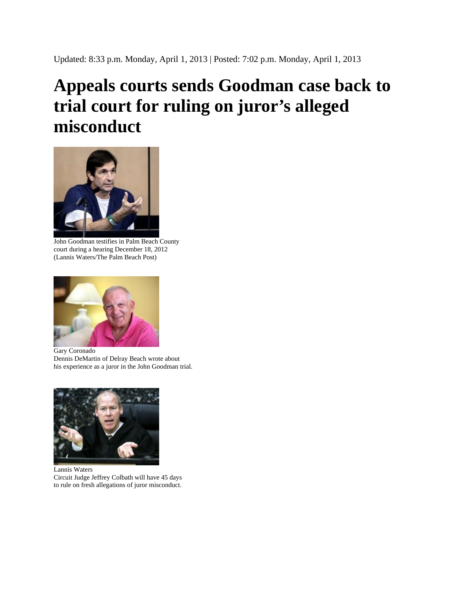## **Appeals courts sends Goodman case back to trial court for ruling on juror's alleged misconduct**



John Goodman testifies in Palm Beach County court during a hearing December 18, 2012 (Lannis Waters/The Palm Beach Post)



Gary Coronado Dennis DeMartin of Delray Beach wrote about his experience as a juror in the John Goodman trial.



Lannis Waters Circuit Judge Jeffrey Colbath will have 45 days to rule on fresh allegations of juror misconduct.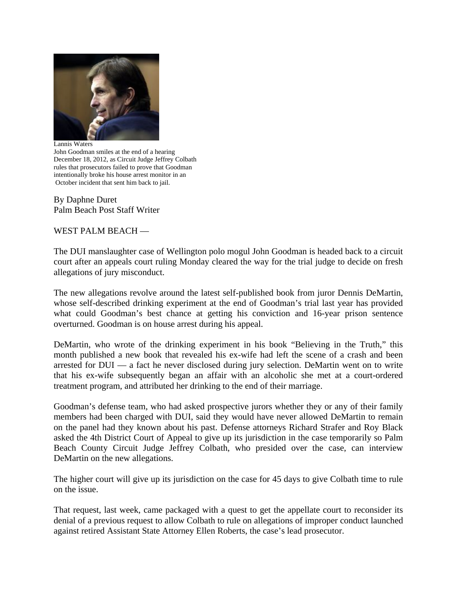

Lannis Waters John Goodman smiles at the end of a hearing December 18, 2012, as Circuit Judge Jeffrey Colbath rules that prosecutors failed to prove that Goodman intentionally broke his house arrest monitor in an October incident that sent him back to jail.

By Daphne Duret Palm Beach Post Staff Writer

WEST PALM BEACH —

The DUI manslaughter case of Wellington polo mogul John Goodman is headed back to a circuit court after an appeals court ruling Monday cleared the way for the trial judge to decide on fresh allegations of jury misconduct.

The new allegations revolve around the latest self-published book from juror Dennis DeMartin, whose self-described drinking experiment at the end of Goodman's trial last year has provided what could Goodman's best chance at getting his conviction and 16-year prison sentence overturned. Goodman is on house arrest during his appeal.

DeMartin, who wrote of the drinking experiment in his book "Believing in the Truth," this month published a new book that revealed his ex-wife had left the scene of a crash and been arrested for DUI — a fact he never disclosed during jury selection. DeMartin went on to write that his ex-wife subsequently began an affair with an alcoholic she met at a court-ordered treatment program, and attributed her drinking to the end of their marriage.

Goodman's defense team, who had asked prospective jurors whether they or any of their family members had been charged with DUI, said they would have never allowed DeMartin to remain on the panel had they known about his past. Defense attorneys Richard Strafer and Roy Black asked the 4th District Court of Appeal to give up its jurisdiction in the case temporarily so Palm Beach County Circuit Judge Jeffrey Colbath, who presided over the case, can interview DeMartin on the new allegations.

The higher court will give up its jurisdiction on the case for 45 days to give Colbath time to rule on the issue.

That request, last week, came packaged with a quest to get the appellate court to reconsider its denial of a previous request to allow Colbath to rule on allegations of improper conduct launched against retired Assistant State Attorney Ellen Roberts, the case's lead prosecutor.